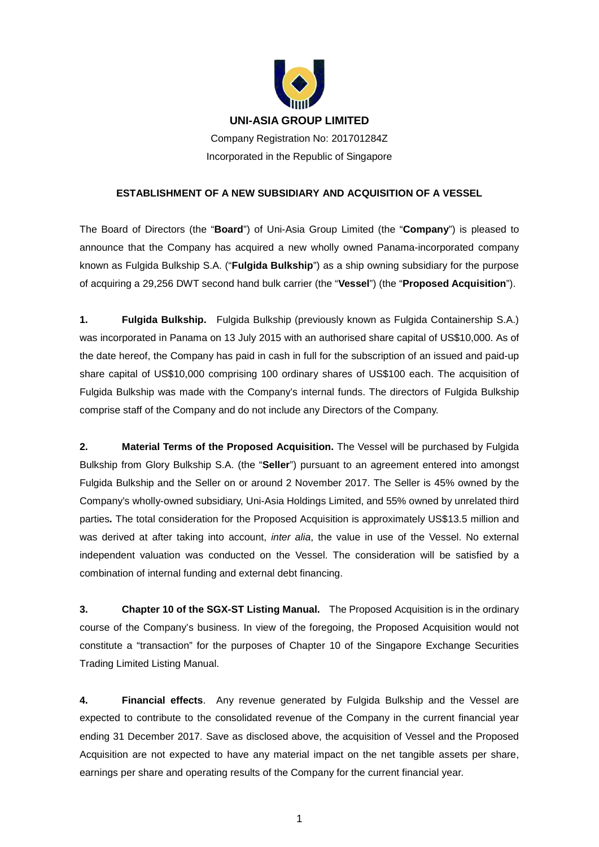

## **UNI-ASIA GROUP LIMITED**

Company Registration No: 201701284Z Incorporated in the Republic of Singapore

## **ESTABLISHMENT OF A NEW SUBSIDIARY AND ACQUISITION OF A VESSEL**

The Board of Directors (the "**Board**") of Uni-Asia Group Limited (the "**Company**") is pleased to announce that the Company has acquired a new wholly owned Panama-incorporated company known as Fulgida Bulkship S.A. ("**Fulgida Bulkship**") as a ship owning subsidiary for the purpose of acquiring a 29,256 DWT second hand bulk carrier (the "**Vessel**") (the "**Proposed Acquisition**").

**1. Fulgida Bulkship.** Fulgida Bulkship (previously known as Fulgida Containership S.A.) was incorporated in Panama on 13 July 2015 with an authorised share capital of US\$10,000. As of the date hereof, the Company has paid in cash in full for the subscription of an issued and paid-up share capital of US\$10,000 comprising 100 ordinary shares of US\$100 each. The acquisition of Fulgida Bulkship was made with the Company's internal funds. The directors of Fulgida Bulkship comprise staff of the Company and do not include any Directors of the Company.

**2. Material Terms of the Proposed Acquisition.** The Vessel will be purchased by Fulgida Bulkship from Glory Bulkship S.A. (the "**Seller**") pursuant to an agreement entered into amongst Fulgida Bulkship and the Seller on or around 2 November 2017. The Seller is 45% owned by the Company's wholly-owned subsidiary, Uni-Asia Holdings Limited, and 55% owned by unrelated third parties*.* The total consideration for the Proposed Acquisition is approximately US\$13.5 million and was derived at after taking into account, *inter alia*, the value in use of the Vessel. No external independent valuation was conducted on the Vessel. The consideration will be satisfied by a combination of internal funding and external debt financing.

**3. Chapter 10 of the SGX-ST Listing Manual.** The Proposed Acquisition is in the ordinary course of the Company's business. In view of the foregoing, the Proposed Acquisition would not constitute a "transaction" for the purposes of Chapter 10 of the Singapore Exchange Securities Trading Limited Listing Manual.

**4. Financial effects**. Any revenue generated by Fulgida Bulkship and the Vessel are expected to contribute to the consolidated revenue of the Company in the current financial year ending 31 December 2017. Save as disclosed above, the acquisition of Vessel and the Proposed Acquisition are not expected to have any material impact on the net tangible assets per share, earnings per share and operating results of the Company for the current financial year.